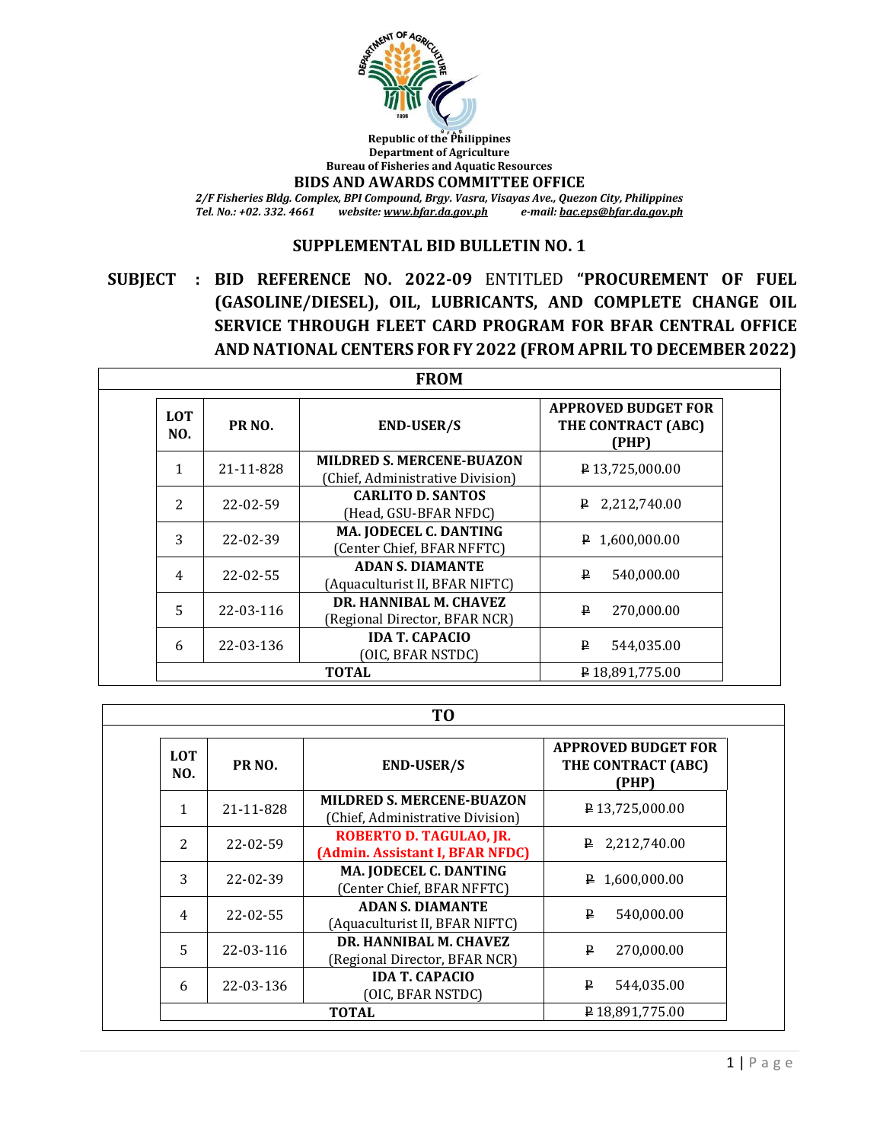

**Republic of the Philippines Department of Agriculture Bureau of Fisheries and Aquatic Resources**

**BIDS AND AWARDS COMMITTEE OFFICE**

*2/F Fisheries Bldg. Complex, BPI Compound, Brgy. Vasra, Visayas Ave., Quezon City, Philippines Tel. No.: +02. 332. 4661 website[: www.bfar.da.gov.ph](file:///E:/BFAR%20PUBLIC%20BIDDING/FY%202022/2022-03%20VOC/www.bfar.da.gov.ph) e-mail[: bac.eps@bfar.da.gov.ph](bac.eps@bfar.da.gov.ph)*

#### **SUPPLEMENTAL BID BULLETIN NO. 1**

**SUBJECT : BID REFERENCE NO. 2022-09** ENTITLED **"PROCUREMENT OF FUEL (GASOLINE/DIESEL), OIL, LUBRICANTS, AND COMPLETE CHANGE OIL SERVICE THROUGH FLEET CARD PROGRAM FOR BFAR CENTRAL OFFICE AND NATIONAL CENTERS FOR FY 2022 (FROM APRIL TO DECEMBER 2022)**

| <b>FROM</b>       |                    |                                                                      |                                                           |  |  |  |
|-------------------|--------------------|----------------------------------------------------------------------|-----------------------------------------------------------|--|--|--|
| <b>LOT</b><br>NO. | PR <sub>NO</sub> . | <b>END-USER/S</b>                                                    | <b>APPROVED BUDGET FOR</b><br>THE CONTRACT (ABC)<br>(PHP) |  |  |  |
| $\mathbf{1}$      | 21-11-828          | <b>MILDRED S. MERCENE-BUAZON</b><br>(Chief, Administrative Division) | P13,725,000.00                                            |  |  |  |
| $\overline{c}$    | 22-02-59           | <b>CARLITO D. SANTOS</b><br>(Head, GSU-BFAR NFDC)                    | $P$ 2,212,740.00                                          |  |  |  |
| 3                 | 22-02-39           | MA. JODECEL C. DANTING<br>(Center Chief, BFAR NFFTC)                 | $P$ 1,600,000.00                                          |  |  |  |
| $\overline{4}$    | $22 - 02 - 55$     | <b>ADAN S. DIAMANTE</b><br>(Aquaculturist II, BFAR NIFTC)            | ₽<br>540,000.00                                           |  |  |  |
| 5                 | 22-03-116          | DR. HANNIBAL M. CHAVEZ<br>(Regional Director, BFAR NCR)              | $\mathbf{P}$<br>270,000.00                                |  |  |  |
| 6                 | 22-03-136          | <b>IDA T. CAPACIO</b><br>(OIC, BFAR NSTDC)                           | ₽<br>544.035.00                                           |  |  |  |
|                   |                    | <b>TOTAL</b>                                                         | $P$ 18.891.775.00                                         |  |  |  |

**TO**

| <b>LOT</b><br>NO. | PR <sub>NO</sub> . | <b>END-USER/S</b>                                                    | <b>APPROVED BUDGET FOR</b><br>THE CONTRACT (ABC)<br>(PHP) |
|-------------------|--------------------|----------------------------------------------------------------------|-----------------------------------------------------------|
| 1                 | 21-11-828          | <b>MILDRED S. MERCENE-BUAZON</b><br>(Chief, Administrative Division) | P13,725,000.00                                            |
| 2                 | 22-02-59           | ROBERTO D. TAGULAO, JR.<br>(Admin. Assistant I, BFAR NFDC)           | 2,212,740.00<br>₽.                                        |
| 3                 | 22-02-39           | MA. JODECEL C. DANTING<br>(Center Chief, BFAR NFFTC)                 | $\sqrt{P}$ 1,600,000.00                                   |
| 4                 | 22-02-55           | <b>ADAN S. DIAMANTE</b><br>(Aquaculturist II, BFAR NIFTC)            | ₽<br>540,000.00                                           |
| 5                 | 22-03-116          | DR. HANNIBAL M. CHAVEZ<br>(Regional Director, BFAR NCR)              | ₽<br>270,000.00                                           |
| 6                 | 22-03-136          | <b>IDA T. CAPACIO</b><br>(OIC, BFAR NSTDC)                           | ₽<br>544,035.00                                           |
|                   |                    | ₽18,891,775.00                                                       |                                                           |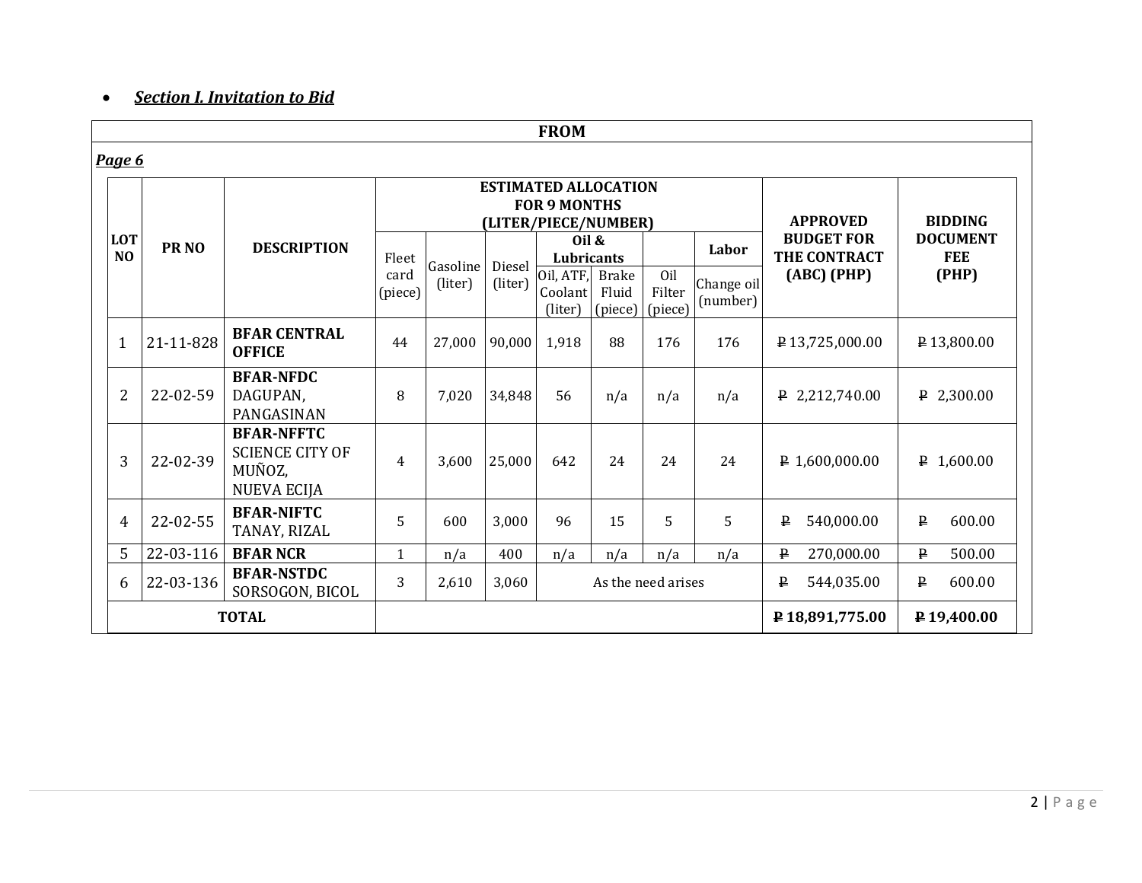#### *Section I. Invitation to Bid*

|                              |                  |                                                                             |                 |                     |                   | <b>FROM</b>                                                                |                                             |                |                        |                                   |                               |
|------------------------------|------------------|-----------------------------------------------------------------------------|-----------------|---------------------|-------------------|----------------------------------------------------------------------------|---------------------------------------------|----------------|------------------------|-----------------------------------|-------------------------------|
| <u>Page 6</u>                |                  |                                                                             |                 |                     |                   |                                                                            |                                             |                |                        |                                   |                               |
|                              |                  |                                                                             |                 |                     |                   | <b>ESTIMATED ALLOCATION</b><br><b>FOR 9 MONTHS</b><br>(LITER/PIECE/NUMBER) | <b>APPROVED</b>                             | <b>BIDDING</b> |                        |                                   |                               |
| <b>LOT</b><br>N <sub>O</sub> | PR <sub>NO</sub> | <b>DESCRIPTION</b>                                                          | Fleet           |                     |                   | Oil $\&$<br>Lubricants                                                     |                                             |                | Labor                  | <b>BUDGET FOR</b><br>THE CONTRACT | <b>DOCUMENT</b><br><b>FEE</b> |
|                              |                  |                                                                             | card<br>(piece) | Gasoline<br>(liter) | Diesel<br>(liter) | $\overline{O}$ il, ATF,<br>(liter)                                         | <b>Brake</b><br>Coolant<br>Fluid<br>(piece) |                | Change oil<br>(number) | (ABC) (PHP)                       | (PHP)                         |
| $\mathbf{1}$                 | 21-11-828        | <b>BFAR CENTRAL</b><br><b>OFFICE</b>                                        | 44              | 27,000              | 90,000            | 1,918                                                                      | 88                                          | 176            | 176                    | P13,725,000.00                    | P 13,800.00                   |
| $\overline{2}$               | 22-02-59         | <b>BFAR-NFDC</b><br>DAGUPAN,<br>PANGASINAN                                  | 8               | 7,020               | 34,848            | 56                                                                         | n/a                                         | n/a            | n/a                    | P 2,212,740.00                    | $P$ 2,300.00                  |
| 3                            | 22-02-39         | <b>BFAR-NFFTC</b><br><b>SCIENCE CITY OF</b><br>MUÑOZ,<br><b>NUEVA ECIJA</b> | 4               | 3,600               | 25,000            | 642                                                                        | 24                                          | 24             | 24                     | $P$ 1,600,000.00                  | $P$ 1,600.00                  |
| $\overline{4}$               | 22-02-55         | <b>BFAR-NIFTC</b><br>TANAY, RIZAL                                           | 5               | 600                 | 3,000             | 96                                                                         | 15                                          | 5              | 5                      | ₽<br>540,000.00                   | $\, {\bf p}$<br>600.00        |
| 5                            | 22-03-116        | <b>BFAR NCR</b>                                                             | $\mathbf{1}$    | n/a                 | 400               | n/a                                                                        | n/a                                         | n/a            | n/a                    | 270,000.00<br>$\mathbf{P}$        | 500.00<br>$\mathbf{P}$        |
| 6                            | 22-03-136        | <b>BFAR-NSTDC</b><br>SORSOGON, BICOL                                        | 3               | 2,610               | 3,060             |                                                                            | As the need arises                          |                |                        | 544,035.00<br>₽                   | ₽<br>600.00                   |
|                              |                  | <b>TOTAL</b>                                                                |                 |                     |                   |                                                                            |                                             |                |                        | P18,891,775.00                    | P19,400.00                    |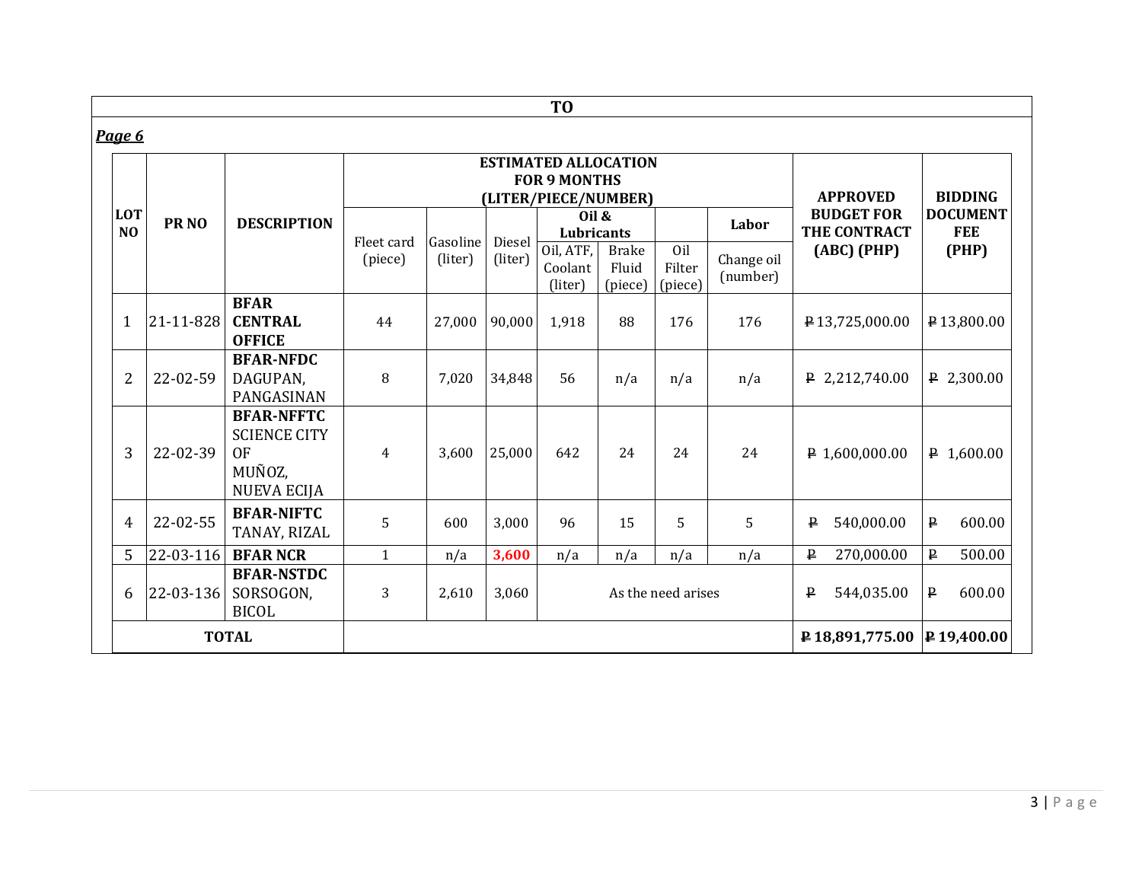|                |                  |                                                                                       |                       |                     |                                                                                     | T <sub>0</sub>                       |                                   |                          |                        |                            |                        |
|----------------|------------------|---------------------------------------------------------------------------------------|-----------------------|---------------------|-------------------------------------------------------------------------------------|--------------------------------------|-----------------------------------|--------------------------|------------------------|----------------------------|------------------------|
| Page 6         |                  |                                                                                       |                       |                     |                                                                                     |                                      |                                   |                          |                        |                            |                        |
| <b>LOT</b>     |                  |                                                                                       |                       |                     | <b>ESTIMATED ALLOCATION</b><br><b>FOR 9 MONTHS</b><br>(LITER/PIECE/NUMBER)<br>Oil & | <b>APPROVED</b><br><b>BUDGET FOR</b> | <b>BIDDING</b><br><b>DOCUMENT</b> |                          |                        |                            |                        |
| N <sub>O</sub> | PR <sub>NO</sub> | <b>DESCRIPTION</b>                                                                    |                       |                     |                                                                                     | Lubricants                           |                                   |                          | Labor                  | THE CONTRACT               | <b>FEE</b>             |
|                |                  |                                                                                       | Fleet card<br>(piece) | Gasoline<br>(liter) | Diesel<br>(liter)                                                                   | Oil, ATF,<br>Coolant<br>(liter)      | <b>Brake</b><br>Fluid<br>(piece)  | Oil<br>Filter<br>(piece) | Change oil<br>(number) | (ABC) (PHP)                | (PHP)                  |
| $\mathbf{1}$   | 21-11-828        | <b>BFAR</b><br><b>CENTRAL</b><br><b>OFFICE</b>                                        | 44                    | 27,000              | 90,000                                                                              | 1,918                                | 88                                | 176                      | 176                    | P13,725,000.00             | P13,800.00             |
| $\overline{2}$ | 22-02-59         | <b>BFAR-NFDC</b><br>DAGUPAN,<br>PANGASINAN                                            | 8                     | 7,020               | 34,848                                                                              | 56                                   | n/a                               | n/a                      | n/a                    | $P$ 2,212,740.00           | $P$ 2,300.00           |
| 3              | 22-02-39         | <b>BFAR-NFFTC</b><br><b>SCIENCE CITY</b><br><b>OF</b><br>MUÑOZ,<br><b>NUEVA ECIJA</b> | $\overline{4}$        | 3,600               | 25,000                                                                              | 642                                  | 24                                | 24                       | 24                     | $P$ 1,600,000.00           | $P$ 1,600.00           |
| 4              | 22-02-55         | <b>BFAR-NIFTC</b><br>TANAY, RIZAL                                                     | 5                     | 600                 | 3,000                                                                               | 96                                   | 15                                | 5                        | 5                      | $\mathbf{p}$<br>540,000.00 | ₽<br>600.00            |
| 5              | 22-03-116        | <b>BFAR NCR</b>                                                                       | $\mathbf{1}$          | n/a                 | 3,600                                                                               | n/a                                  | n/a                               | n/a                      | n/a                    | $\mathbf{P}$<br>270,000.00 | $\mathbf{P}$<br>500.00 |
| 6              | 22-03-136        | <b>BFAR-NSTDC</b><br>SORSOGON,<br><b>BICOL</b>                                        | 3                     | 2,610               | 3,060                                                                               |                                      |                                   | As the need arises       |                        | 544,035.00<br>$\mathbf{P}$ | $\mathbf{P}$<br>600.00 |
|                |                  | <b>TOTAL</b>                                                                          |                       |                     |                                                                                     |                                      |                                   |                          |                        | P18,891,775.00             | P 19,400.00            |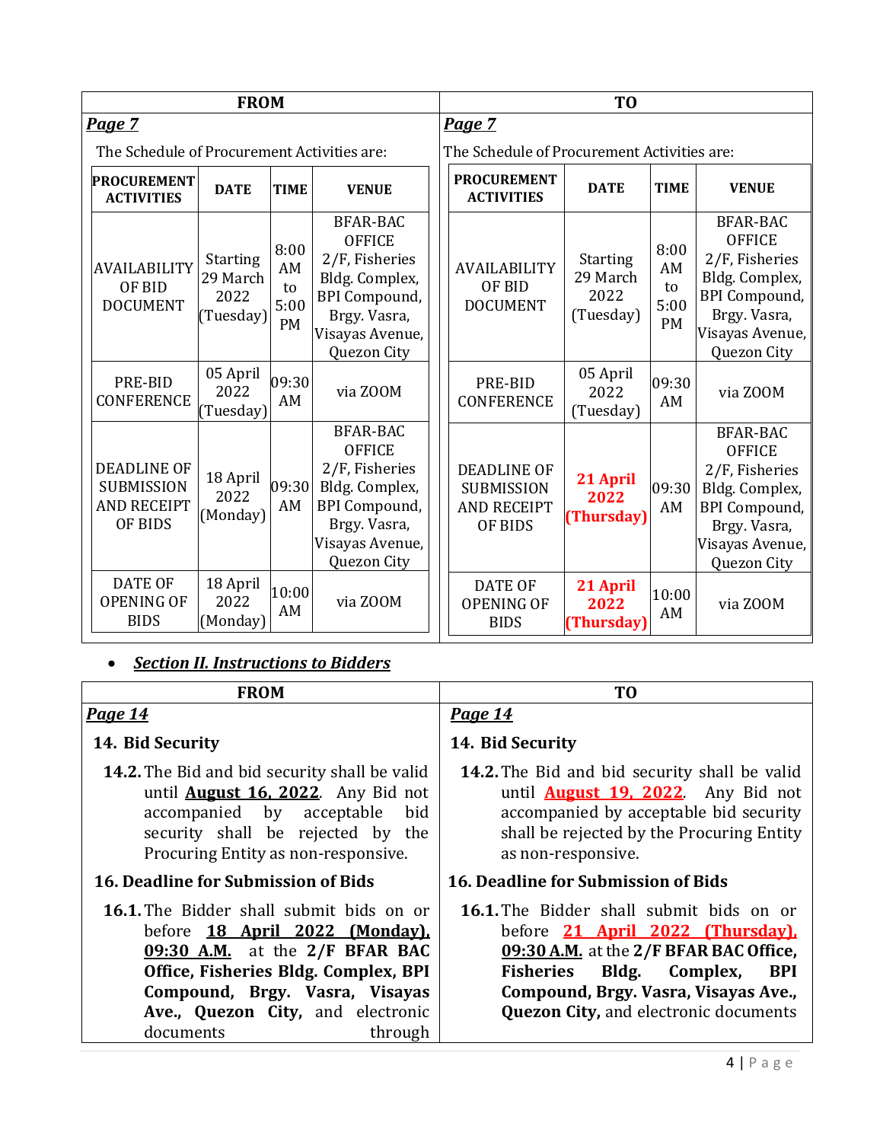|                                                                          | <b>FROM</b>                                      |                                       |                                                                                                                                                | T <sub>0</sub>                                                           |                                                  |                                       |                                                                                                                                                   |  |
|--------------------------------------------------------------------------|--------------------------------------------------|---------------------------------------|------------------------------------------------------------------------------------------------------------------------------------------------|--------------------------------------------------------------------------|--------------------------------------------------|---------------------------------------|---------------------------------------------------------------------------------------------------------------------------------------------------|--|
| Page 7                                                                   |                                                  |                                       |                                                                                                                                                | Page 7                                                                   |                                                  |                                       |                                                                                                                                                   |  |
| The Schedule of Procurement Activities are:                              |                                                  |                                       |                                                                                                                                                | The Schedule of Procurement Activities are:                              |                                                  |                                       |                                                                                                                                                   |  |
| <b>PROCUREMENT</b><br><b>ACTIVITIES</b>                                  | <b>DATE</b>                                      | <b>TIME</b>                           | <b>VENUE</b>                                                                                                                                   | <b>PROCUREMENT</b><br><b>ACTIVITIES</b>                                  | <b>DATE</b>                                      | <b>TIME</b>                           | <b>VENUE</b>                                                                                                                                      |  |
| <b>AVAILABILITY</b><br>OF BID<br><b>DOCUMENT</b>                         | <b>Starting</b><br>29 March<br>2022<br>(Tuesday) | 8:00<br>AM<br>to<br>5:00<br><b>PM</b> | <b>BFAR-BAC</b><br><b>OFFICE</b><br>2/F, Fisheries<br>Bldg. Complex,<br><b>BPI</b> Compound,<br>Brgy. Vasra,<br>Visayas Avenue,<br>Quezon City | <b>AVAILABILITY</b><br>OF BID<br><b>DOCUMENT</b>                         | <b>Starting</b><br>29 March<br>2022<br>(Tuesday) | 8:00<br>AM<br>to<br>5:00<br><b>PM</b> | <b>BFAR-BAC</b><br><b>OFFICE</b><br>2/F, Fisheries<br>Bldg. Complex,<br><b>BPI</b> Compound,<br>Brgy. Vasra,<br>Visayas Avenue,   <br>Quezon City |  |
| PRE-BID<br><b>CONFERENCE</b>                                             | 05 April<br>2022<br>(Tuesday)                    | 09:30<br>AM                           | via ZOOM                                                                                                                                       | PRE-BID<br><b>CONFERENCE</b>                                             | 05 April<br>2022<br>(Tuesday)                    | 09:30<br>AM                           | via ZOOM                                                                                                                                          |  |
| <b>DEADLINE OF</b><br><b>SUBMISSION</b><br><b>AND RECEIPT</b><br>OF BIDS | 18 April<br>2022<br>(Monday)                     | 09:30<br>AM                           | <b>BFAR-BAC</b><br><b>OFFICE</b><br>2/F, Fisheries<br>Bldg. Complex,<br><b>BPI</b> Compound,<br>Brgy. Vasra,<br>Visayas Avenue,<br>Quezon City | <b>DEADLINE OF</b><br><b>SUBMISSION</b><br><b>AND RECEIPT</b><br>OF BIDS | 21 April<br>2022<br>(Thursday)                   | 09:30<br>AM                           | <b>BFAR-BAC</b><br><b>OFFICE</b><br>2/F, Fisheries<br>Bldg. Complex,<br><b>BPI</b> Compound,<br>Brgy. Vasra,<br>Visayas Avenue,<br>Quezon City    |  |
| <b>DATE OF</b><br><b>OPENING OF</b><br><b>BIDS</b>                       | 18 April<br>2022<br>(Monday)                     | 10:00<br>AM                           | via ZOOM                                                                                                                                       | <b>DATE OF</b><br><b>OPENING OF</b><br><b>BIDS</b>                       | 21 April<br>2022<br>(Thursday)                   | 10:00<br>AM                           | via ZOOM                                                                                                                                          |  |

# *Section II. Instructions to Bidders*

| <b>FROM</b>                                                                                                                                                                                                                                                | T0                                                                                                                                                                                                                                                              |  |  |
|------------------------------------------------------------------------------------------------------------------------------------------------------------------------------------------------------------------------------------------------------------|-----------------------------------------------------------------------------------------------------------------------------------------------------------------------------------------------------------------------------------------------------------------|--|--|
| <b>Page 14</b>                                                                                                                                                                                                                                             | <b>Page 14</b>                                                                                                                                                                                                                                                  |  |  |
| 14. Bid Security                                                                                                                                                                                                                                           | 14. Bid Security                                                                                                                                                                                                                                                |  |  |
| <b>14.2.</b> The Bid and bid security shall be valid<br>until <b>August 16, 2022</b> . Any Bid not<br>accompanied by acceptable<br>bid<br>security shall be rejected by the<br>Procuring Entity as non-responsive.                                         | <b>14.2.</b> The Bid and bid security shall be valid<br>until <b>August 19, 2022</b> . Any Bid not<br>accompanied by acceptable bid security<br>shall be rejected by the Procuring Entity<br>as non-responsive.                                                 |  |  |
| 16. Deadline for Submission of Bids                                                                                                                                                                                                                        | 16. Deadline for Submission of Bids                                                                                                                                                                                                                             |  |  |
| <b>16.1.</b> The Bidder shall submit bids on or<br>before 18 April 2022 (Monday).<br>09:30 A.M. at the 2/F BFAR BAC<br>Office, Fisheries Bldg. Complex, BPI<br>Compound, Brgy. Vasra, Visayas<br>Ave., Quezon City, and electronic<br>documents<br>through | <b>16.1.</b> The Bidder shall submit bids on or<br>before 21 April 2022 (Thursday).<br>09:30 A.M. at the 2/F BFAR BAC Office,<br>Fisheries Bldg. Complex,<br><b>BPI</b><br>Compound, Brgy. Vasra, Visayas Ave.,<br><b>Quezon City, and electronic documents</b> |  |  |
|                                                                                                                                                                                                                                                            | $4   P \text{age}$                                                                                                                                                                                                                                              |  |  |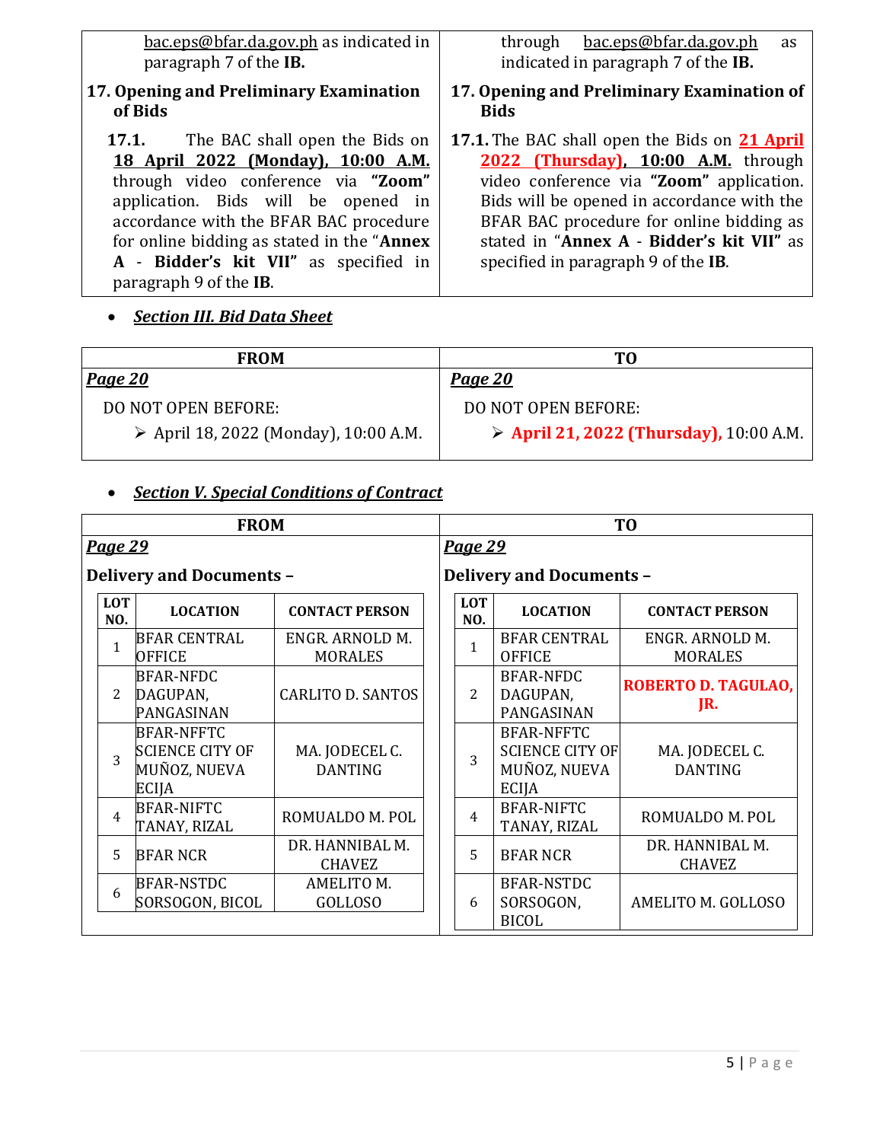[bac.eps@bfar.da.gov.ph](mailto:bac.eps@bfar.da.gov.ph) as indicated in paragraph 7 of the **IB.** 

#### **17. Opening and Preliminary Examination of Bids**

**17.1.** The BAC shall open the Bids on **18 April 2022 (Monday), 10:00 A.M.** through video conference via **"Zoom"** application. Bids will be opened in accordance with the BFAR BAC procedure for online bidding as stated in the "**Annex A** - **Bidder's kit VII"** as specified in paragraph 9 of the **IB**.

*Section III. Bid Data Sheet*

through [bac.eps@bfar.da.gov.ph](mailto:bac.eps@bfar.da.gov.ph) as indicated in paragraph 7 of the **IB.** 

- **17. Opening and Preliminary Examination of Bids**
- **17.1.** The BAC shall open the Bids on **21 April 2022 (Thursday), 10:00 A.M.** through video conference via **"Zoom"** application. Bids will be opened in accordance with the BFAR BAC procedure for online bidding as stated in "**Annex A** - **Bidder's kit VII"** as specified in paragraph 9 of the **IB**.

| <b>FROM</b>                                          | TO.                                                    |
|------------------------------------------------------|--------------------------------------------------------|
| <b>Page 20</b>                                       | <u>Page 20</u>                                         |
| DO NOT OPEN BEFORE:                                  | DO NOT OPEN BEFORE:                                    |
| $\triangleright$ April 18, 2022 (Monday), 10:00 A.M. | $\triangleright$ April 21, 2022 (Thursday), 10:00 A.M. |

## *Section V. Special Conditions of Contract*

|                   | <b>FROM</b>                                                          |                                   | T <sub>0</sub>                  |                                                                             |                                   |  |  |  |
|-------------------|----------------------------------------------------------------------|-----------------------------------|---------------------------------|-----------------------------------------------------------------------------|-----------------------------------|--|--|--|
| <b>Page 29</b>    |                                                                      |                                   | <b>Page 29</b>                  |                                                                             |                                   |  |  |  |
|                   | <b>Delivery and Documents -</b>                                      |                                   | <b>Delivery and Documents -</b> |                                                                             |                                   |  |  |  |
| <b>LOT</b><br>NO. | <b>LOCATION</b>                                                      | <b>CONTACT PERSON</b>             | <b>LOT</b><br>NO.               | <b>LOCATION</b>                                                             | <b>CONTACT PERSON</b>             |  |  |  |
| 1                 | BFAR CENTRAL<br><b>OFFICE</b>                                        | ENGR. ARNOLD M.<br><b>MORALES</b> | 1                               | <b>BFAR CENTRAL</b><br><b>OFFICE</b>                                        | ENGR. ARNOLD M.<br><b>MORALES</b> |  |  |  |
| $\overline{2}$    | <b>BFAR-NFDC</b><br>DAGUPAN,<br>PANGASINAN                           | <b>CARLITO D. SANTOS</b>          | $\overline{2}$                  | BFAR-NFDC<br>DAGUPAN,<br>PANGASINAN                                         | <b>ROBERTO D. TAGULAO,</b><br>JR. |  |  |  |
| 3                 | <b>BFAR-NFFTC</b><br><b>SCIENCE CITY OF</b><br>MUÑOZ, NUEVA<br>ECIJA | MA. JODECEL C.<br><b>DANTING</b>  | 3                               | <b>BFAR-NFFTC</b><br><b>SCIENCE CITY OF</b><br>MUÑOZ, NUEVA<br><b>ECIJA</b> | MA. JODECEL C.<br><b>DANTING</b>  |  |  |  |
| $\overline{4}$    | <b>BFAR-NIFTC</b><br>TANAY, RIZAL                                    | ROMUALDO M. POL                   | $\overline{4}$                  | <b>BFAR-NIFTC</b><br>TANAY, RIZAL                                           | ROMUALDO M. POL                   |  |  |  |
| 5                 | <b>BFAR NCR</b>                                                      | DR. HANNIBAL M.<br><b>CHAVEZ</b>  | 5                               | <b>BFAR NCR</b>                                                             | DR. HANNIBAL M.<br><b>CHAVEZ</b>  |  |  |  |
| 6                 | <b>BFAR-NSTDC</b><br>SORSOGON, BICOL                                 | AMELITO M.<br><b>GOLLOSO</b>      | 6                               | <b>BFAR-NSTDC</b><br>SORSOGON,<br><b>BICOL</b>                              | AMELITO M. GOLLOSO                |  |  |  |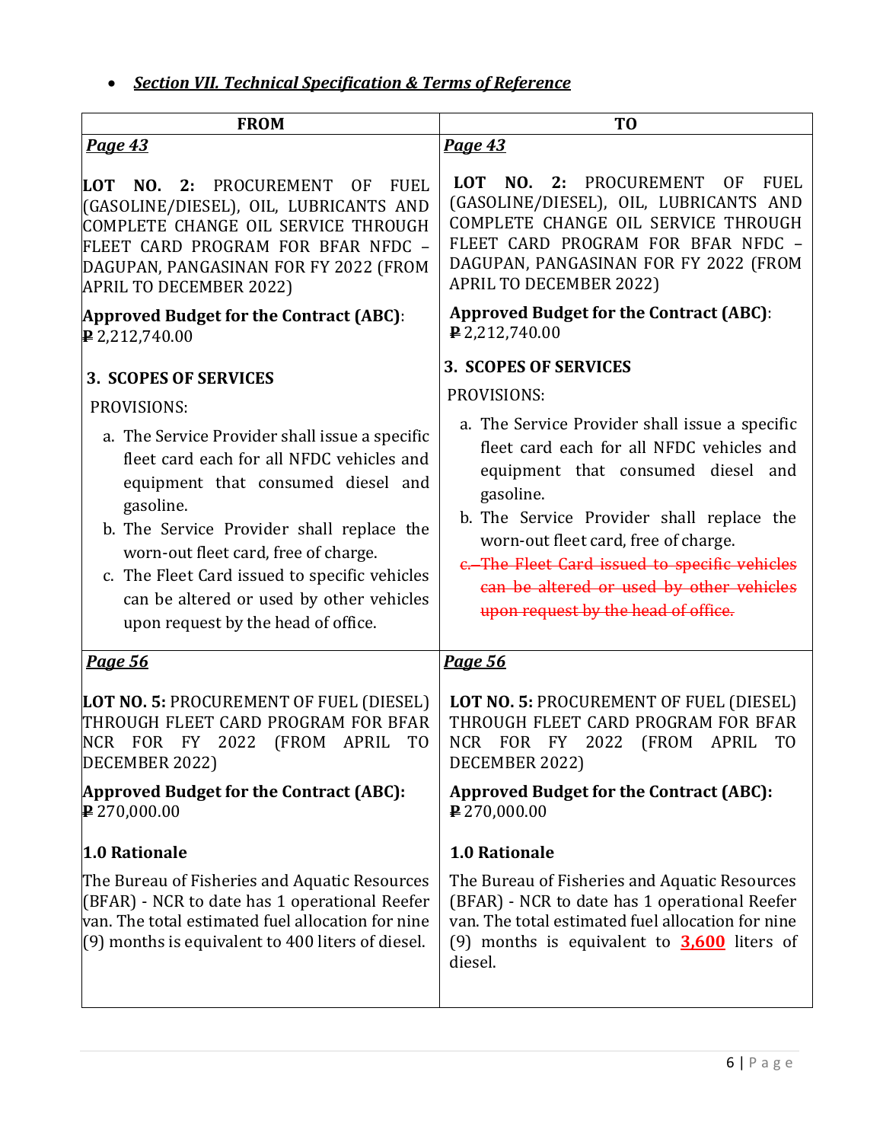*Section VII. Technical Specification & Terms of Reference*

| <b>FROM</b>                                                                                                                                                                                                                                                                                                                                                                                                            | T <sub>0</sub>                                                                                                                                                                                                                                                                                                                                                                                                         |  |  |  |  |
|------------------------------------------------------------------------------------------------------------------------------------------------------------------------------------------------------------------------------------------------------------------------------------------------------------------------------------------------------------------------------------------------------------------------|------------------------------------------------------------------------------------------------------------------------------------------------------------------------------------------------------------------------------------------------------------------------------------------------------------------------------------------------------------------------------------------------------------------------|--|--|--|--|
| <b>Page 43</b>                                                                                                                                                                                                                                                                                                                                                                                                         | Page 43                                                                                                                                                                                                                                                                                                                                                                                                                |  |  |  |  |
| NO. 2: PROCUREMENT<br>LOT<br>0F<br><b>FUEL</b><br>(GASOLINE/DIESEL), OIL, LUBRICANTS AND<br>COMPLETE CHANGE OIL SERVICE THROUGH<br>FLEET CARD PROGRAM FOR BFAR NFDC -<br>DAGUPAN, PANGASINAN FOR FY 2022 (FROM<br><b>APRIL TO DECEMBER 2022)</b>                                                                                                                                                                       | NO. 2: PROCUREMENT<br><b>LOT</b><br><b>OF</b><br><b>FUEL</b><br>(GASOLINE/DIESEL), OIL, LUBRICANTS AND<br>COMPLETE CHANGE OIL SERVICE THROUGH<br>FLEET CARD PROGRAM FOR BFAR NFDC -<br>DAGUPAN, PANGASINAN FOR FY 2022 (FROM<br><b>APRIL TO DECEMBER 2022)</b>                                                                                                                                                         |  |  |  |  |
| Approved Budget for the Contract (ABC):<br>$\mathbf{P} 2,212,740.00$                                                                                                                                                                                                                                                                                                                                                   | <b>Approved Budget for the Contract (ABC):</b><br>$P$ 2,212,740.00                                                                                                                                                                                                                                                                                                                                                     |  |  |  |  |
| <b>3. SCOPES OF SERVICES</b><br>PROVISIONS:<br>a. The Service Provider shall issue a specific<br>fleet card each for all NFDC vehicles and<br>equipment that consumed diesel and<br>gasoline.<br>b. The Service Provider shall replace the<br>worn-out fleet card, free of charge.<br>c. The Fleet Card issued to specific vehicles<br>can be altered or used by other vehicles<br>upon request by the head of office. | <b>3. SCOPES OF SERVICES</b><br>PROVISIONS:<br>a. The Service Provider shall issue a specific<br>fleet card each for all NFDC vehicles and<br>equipment that consumed diesel and<br>gasoline.<br>b. The Service Provider shall replace the<br>worn-out fleet card, free of charge.<br>e. The Fleet Card issued to specific vehicles<br>can be altered or used by other vehicles<br>upon request by the head of office. |  |  |  |  |
| <b>Page 56</b>                                                                                                                                                                                                                                                                                                                                                                                                         | <b>Page 56</b>                                                                                                                                                                                                                                                                                                                                                                                                         |  |  |  |  |
| LOT NO. 5: PROCUREMENT OF FUEL (DIESEL)<br>THROUGH FLEET CARD PROGRAM FOR BFAR<br>NCR FOR FY 2022 (FROM APRIL<br>T <sub>0</sub><br>DECEMBER 2022)                                                                                                                                                                                                                                                                      | LOT NO. 5: PROCUREMENT OF FUEL (DIESEL)<br>THROUGH FLEET CARD PROGRAM FOR BFAR<br>NCR FOR FY 2022<br>(FROM APRIL<br>TO<br>DECEMBER 2022)                                                                                                                                                                                                                                                                               |  |  |  |  |
| Approved Budget for the Contract (ABC):<br>$P$ 270,000.00                                                                                                                                                                                                                                                                                                                                                              | <b>Approved Budget for the Contract (ABC):</b><br>$P$ 270,000.00                                                                                                                                                                                                                                                                                                                                                       |  |  |  |  |
| 1.0 Rationale                                                                                                                                                                                                                                                                                                                                                                                                          | <b>1.0 Rationale</b>                                                                                                                                                                                                                                                                                                                                                                                                   |  |  |  |  |
| The Bureau of Fisheries and Aquatic Resources<br>(BFAR) - NCR to date has 1 operational Reefer<br>van. The total estimated fuel allocation for nine<br>$(9)$ months is equivalent to 400 liters of diesel.                                                                                                                                                                                                             | The Bureau of Fisheries and Aquatic Resources<br>(BFAR) - NCR to date has 1 operational Reefer<br>van. The total estimated fuel allocation for nine<br>(9) months is equivalent to $3,600$ liters of<br>diesel.                                                                                                                                                                                                        |  |  |  |  |